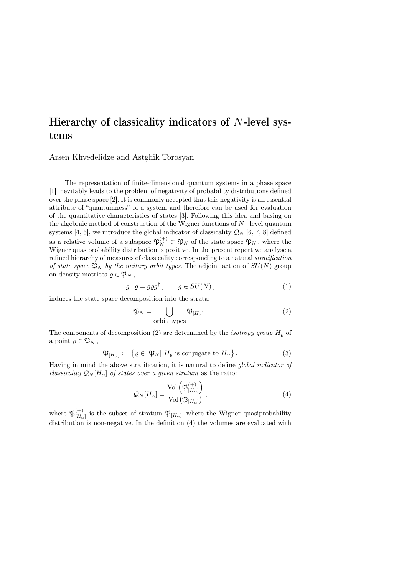## Hierarchy of classicality indicators of N-level systems

Arsen Khvedelidze and Astghik Torosyan

The representation of finite-dimensional quantum systems in a phase space [1] inevitably leads to the problem of negativity of probability distributions defined over the phase space [2]. It is commonly accepted that this negativity is an essential attribute of "quantumness" of a system and therefore can be used for evaluation of the quantitative characteristics of states [3]. Following this idea and basing on the algebraic method of construction of the Wigner functions of N−level quantum systems [4, 5], we introduce the global indicator of classicality  $\mathcal{Q}_N$  [6, 7, 8] defined as a relative volume of a subspace  $\mathfrak{P}_N^{(+)} \subset \mathfrak{P}_N$  of the state space  $\mathfrak{P}_N$ , where the Wigner quasiprobability distribution is positive. In the present report we analyse a refined hierarchy of measures of classicality corresponding to a natural stratification of state space  $\mathfrak{P}_N$  by the unitary orbit types. The adjoint action of  $SU(N)$  group on density matrices  $\rho \in \mathfrak{P}_N$ ,

$$
g \cdot \varrho = g \varrho g^{\dagger} , \qquad g \in SU(N) , \tag{1}
$$

induces the state space decomposition into the strata:

$$
\mathfrak{P}_N = \bigcup_{\text{orbit types}} \mathfrak{P}_{[H_\alpha]}.
$$
 (2)

The components of decomposition (2) are determined by the *isotropy group*  $H<sub>\rho</sub>$  of a point  $\rho \in \mathfrak{P}_N$ ,

$$
\mathfrak{P}_{[H_{\alpha}]} := \{ \varrho \in \mathfrak{P}_N | H_{\varrho} \text{ is conjugate to } H_{\alpha} \}.
$$
\n(3)

Having in mind the above stratification, it is natural to define global indicator of classicality  $\mathcal{Q}_N[H_\alpha]$  of states over a given stratum as the ratio:

$$
\mathcal{Q}_N[H_\alpha] = \frac{\text{Vol}\left(\mathfrak{P}_{[H_\alpha]}^{(+)}\right)}{\text{Vol}\left(\mathfrak{P}_{[H_\alpha]}\right)},\tag{4}
$$

where  $\mathfrak{P}_{\mathfrak{l}H}^{(+)}$  $H_{[H_{\alpha}]}^{(+)}$  is the subset of stratum  $\mathfrak{P}_{[H_{\alpha}]}$  where the Wigner quasiprobability distribution is non-negative. In the definition (4) the volumes are evaluated with